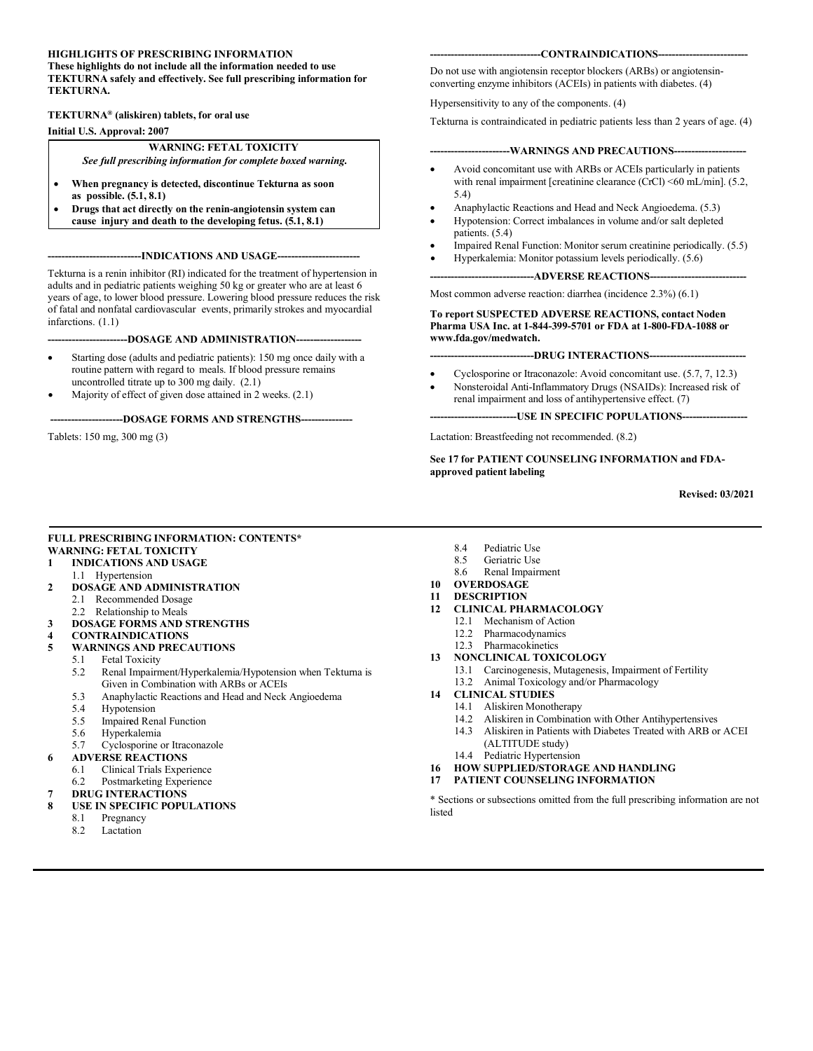#### **HIGHLIGHTS OF PRESCRIBING INFORMATION These highlights do not include all the information needed to use**

**TEKTURNA safely and effectively. See full prescribing information for TEKTURNA.**

**TEKTURNA® (aliskiren) tablets, for oral use** 

#### **Initial U.S. Approval: 2007**

**WARNING: FETAL TOXICITY** *See full prescribing information for complete boxed warning.*

- **When pregnancy is detected, discontinue Tekturna as soon as possible[. \(5.1,](#page-2-0) 8.1)**
- **Drugs that act directly on the renin-angiotensin system can cause injury and death to the developing fetus. [\(5.1,](#page-2-0) 8.1)**

**---------------------------INDICATIONS AND USAGE------------------------**

Tekturna is a renin inhibitor (RI) indicated for the treatment of hypertension in adults and in pediatric patients weighing 50 kg or greater who are at least 6 years of age, to lower blood pressure. Lowering blood pressure reduces the risk of fatal and nonfatal cardiovascular events, primarily strokes and myocardial infarctions. [\(1.1\)](#page-1-0)

#### **-----------------------DOSAGE AND ADMINISTRATION-------------------**

- Starting dose (adults and pediatric patients): 150 mg once daily with a routine pattern with regard to meals. If blood pressure remains uncontrolled titrate up to 300 mg daily. [\(2.1\)](#page-1-1)
- Majority of effect of given dose attained in 2 weeks. [\(2.1\)](#page-1-1)

**FULL PRESCRIBING INFORMATION: CONTENTS\***

#### **---------------------DOSAGE FORMS AND STRENGTHS---------------**

Tablets: 150 mg, 300 m[g \(3\)](#page-1-2)

- 8.4 [Pediatric](#page-6-0) Use<br>8.5 Geriatric Use [Geriatric](#page-6-1) Use
- 8.6 [Renal Impairment](#page-6-2)
- 
- 
- **12 CLINICAL [PHARMACOLOGY](#page-7-2)**
	- 12.3 [Pharmacokinetics](#page-7-0)
- 13.1 [Carcinogenesis, Mutagenesis,](#page-10-1) Impairment of Fertility 13.2 [Animal Toxicology](#page-10-2) and/or Pharmacology
- **14 [CLINICAL](#page-10-3) STUDIES**
	- 14.1 [Aliskiren Monotherapy](#page-10-3)
	- 14.2 Aliskiren in Combination with Other [Antihypertensives](#page-11-0)
	- 14.3 Aliskiren in Patients [with Diabetes](#page-13-0) Treated with ARB or ACEI [\(ALTITUDE](#page-13-0) study)
	-
- 
- 

\* Sections or subsections omitted from the full prescribing information are not listed

- 
- Lactation
- **10 [OVERDOSAGE](#page-6-3)**
- **11 [DESCRIPTION](#page-7-1)**
- 
- **13 [NONCLINICAL](#page-10-0) TOXICOLOGY**
- 
- 12.1 [Mechanism](#page-7-3) of Action 12.2 [Pharmacodynamics](#page-7-4)
	-
	- -
	- -
	-

14.4 Pediatric Hypertension

- **16 HOW [SUPPLIED/STORAGE](#page-13-1) AND HANDLING**
- **17 PATIENT COUNSELING [INFORMATION](#page-14-0)**

#### --CONTRAINDICATIONS--

Do not use with angiotensin receptor blockers (ARBs) or angiotensinconverting enzyme inhibitors (ACEIs) in patients with diabetes. [\(4\)](#page-1-3)

Hypersensitivity to any of the components. [\(4\)](#page-1-3)

Tekturna is contraindicated in pediatric patients less than 2 years of age. (4)**-**

#### **-----------------------WARNINGS AND PRECAUTIONS---------------------**

- Avoid concomitant use with ARBs or ACEIs particularly in patients with renal impairment [creatinine clearance (CrCl) <60 mL/min]. [\(5.2,](#page-2-1) 5.4)
- Anaphylactic Reactions and Head and Neck Angioedema. [\(5.3\)](#page-2-2)
	- Hypotension: Correct imbalances in volume and/or salt depleted patients. [\(5.4\)](#page-2-3)
- Impaired Renal Function: Monitor serum creatinine periodically. [\(5.5\)](#page-2-1)
- Hyperkalemia: Monitor potassium levels periodically. [\(5.6\)](#page-2-4)

#### ----ADVERSE REACTIONS--

Most common adverse reaction: diarrhea (incidence 2.3%) [\(6.1\)](#page-3-0)

#### **To report SUSPECTED ADVERSE REACTIONS, contact Noden Pharma USA Inc. at 1-844-399-5701 or FDA at 1-800-FDA-1088 or [www.fda.gov/medwatch.](http://www.fda.gov/medwatch)**

--DRUG **INTERACTIONS----**

- Cyclosporine or Itraconazole: Avoid concomitant use. (5.7, [7,](#page-4-0) [12.3\)](#page-7-0)
- Nonsteroidal Anti-Inflammatory Drugs (NSAIDs): Increased risk of
	- renal impairment and loss of antihypertensive effect. [\(7\)](#page-4-0)

**-------------------------USE IN SPECIFIC POPULATIONS-------------------**

Lactation: Breastfeeding not recommended. (8.2)

**See 17 for PATIENT COUNSELING INFORMATION and FDAapproved patient labeling**

**Revised: 03/2021**

2.2 Relationship to Meals **3 DOSAGE FORMS [AND STRENGTHS](#page-1-2)**

## **4 [CONTRAINDICATIONS](#page-1-3)**

**WARNING: FETAL TOXICITY 1 [INDICATIONS](#page-1-4) AND USAGE** 1.1 [Hypertension](#page-1-0)

**2 DOSAGE [AND ADMINISTRATION](#page-1-5)** 2.1 Recommended Dosage

- **5 WARNINGS [AND PRECAUTIONS](#page-2-5)**
	- 5.1 [Fetal Toxicity](#page-2-0)
	- 5.2 [Renal Impairment/Hyperkalemia/Hypotension](#page-2-6) when Tekturna is Given in [Combination](#page-2-6) with ARBs or ACEIs
	- 5.3 [Anaphylactic](#page-2-2) Reactions and Head and Neck Angioedema
	-
	- 5.4 [Hypotension](#page-2-3)<br>5.5 Impaired Rer 5.5 Impair**e**d [Renal Function](#page-2-1)
	- **[Hyperkalemia](#page-2-4)**
	- 5.7 [Cyclosporine or](#page-3-1) Itraconazole

#### **6 ADVERSE [REACTIONS](#page-3-2)**

- 
- 6.1 [Clinical Trials](#page-3-0) Experience<br>6.2 Postmarketing Experience [Postmarketing Experience](#page-4-1)
- 

- -
	-
- 

#### **7 DRUG [INTERACTIONS](#page-4-2)**

- **8 USE [IN SPECIFIC POPULATIONS](#page-5-0)**
	- - 8.1 [Pregnancy](#page-5-1)<br>8.2 Lactation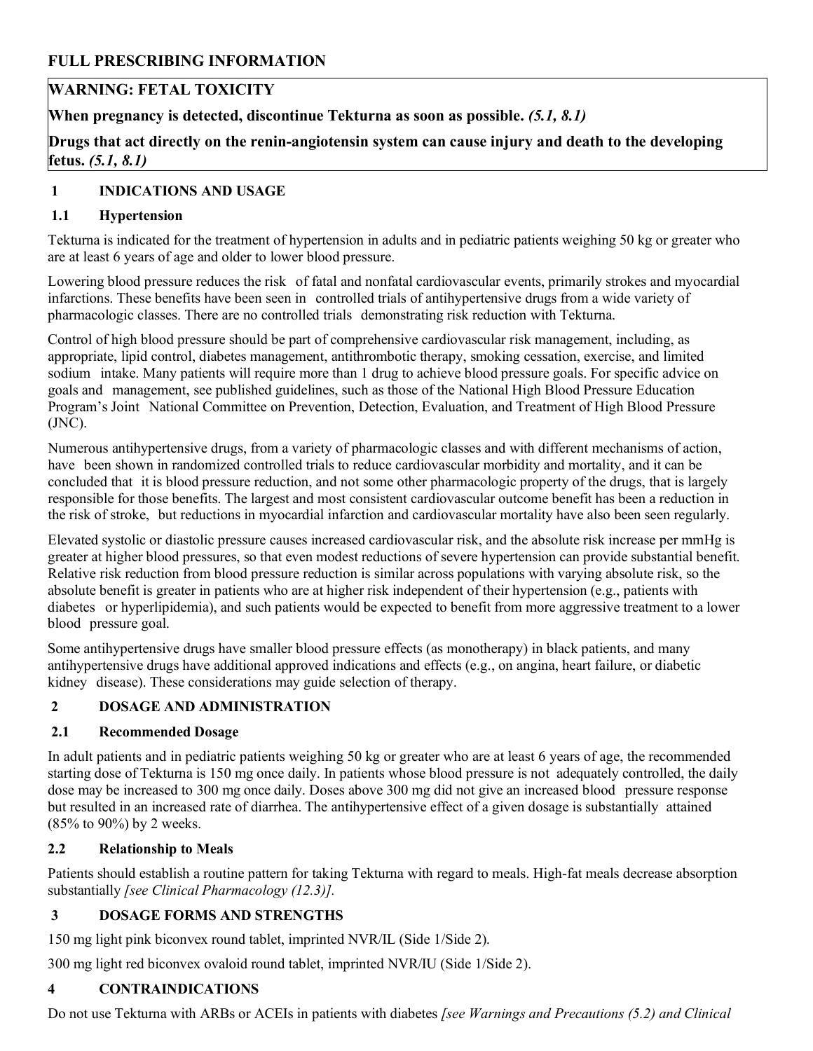# **WARNING: FETAL TOXICITY**

**When pregnancy is detected, discontinue Tekturna as soon as possible.** *(5.1, 8.1)*

**Drugs that act directly on the renin-angiotensin system can cause injury and death to the developing fetus.** *(5.1, 8.1)*

# <span id="page-1-4"></span>**1 INDICATIONS AND USAGE**

## <span id="page-1-0"></span>**1.1 Hypertension**

Tekturna is indicated for the treatment of hypertension in adults and in pediatric patients weighing 50 kg or greater who are at least 6 years of age and older to lower blood pressure.

Lowering blood pressure reduces the risk of fatal and nonfatal cardiovascular events, primarily strokes and myocardial infarctions. These benefits have been seen in controlled trials of antihypertensive drugs from a wide variety of pharmacologic classes. There are no controlled trials demonstrating risk reduction with Tekturna.

Control of high blood pressure should be part of comprehensive cardiovascular risk management, including, as appropriate, lipid control, diabetes management, antithrombotic therapy, smoking cessation, exercise, and limited sodium intake. Many patients will require more than 1 drug to achieve blood pressure goals. For specific advice on goals and management, see published guidelines, such as those of the National High Blood Pressure Education Program's Joint National Committee on Prevention, Detection, Evaluation, and Treatment of High Blood Pressure (JNC).

Numerous antihypertensive drugs, from a variety of pharmacologic classes and with different mechanisms of action, have been shown in randomized controlled trials to reduce cardiovascular morbidity and mortality, and it can be concluded that it is blood pressure reduction, and not some other pharmacologic property of the drugs, that is largely responsible for those benefits. The largest and most consistent cardiovascular outcome benefit has been a reduction in the risk of stroke, but reductions in myocardial infarction and cardiovascular mortality have also been seen regularly.

Elevated systolic or diastolic pressure causes increased cardiovascular risk, and the absolute risk increase per mmHg is greater at higher blood pressures, so that even modest reductions of severe hypertension can provide substantial benefit. Relative risk reduction from blood pressure reduction is similar across populations with varying absolute risk, so the absolute benefit is greater in patients who are at higher risk independent of their hypertension (e.g., patients with diabetes or hyperlipidemia), and such patients would be expected to benefit from more aggressive treatment to a lower blood pressure goal.

Some antihypertensive drugs have smaller blood pressure effects (as monotherapy) in black patients, and many antihypertensive drugs have additional approved indications and effects (e.g., on angina, heart failure, or diabetic kidney disease). These considerations may guide selection of therapy.

## <span id="page-1-5"></span>**2 DOSAGE AND ADMINISTRATION**

## <span id="page-1-1"></span>**2.1 Recommended Dosage**

In adult patients and in pediatric patients weighing 50 kg or greater who are at least 6 years of age, the recommended starting dose of Tekturna is 150 mg once daily. In patients whose blood pressure is not adequately controlled, the daily dose may be increased to 300 mg once daily. Doses above 300 mg did not give an increased blood pressure response but resulted in an increased rate of diarrhea. The antihypertensive effect of a given dosage is substantially attained (85% to 90%) by 2 weeks.

## **2.2 Relationship to Meals**

Patients should establish a routine pattern for taking Tekturna with regard to meals. High-fat meals decrease absorption substantially *[see Clinical Pharmacology (12.3)].*

# <span id="page-1-2"></span>**3 DOSAGE FORMS AND STRENGTHS**

150 mg light pink biconvex round tablet, imprinted NVR/IL (Side 1/Side 2).

300 mg light red biconvex ovaloid round tablet, imprinted NVR/IU (Side 1/Side 2).

# <span id="page-1-3"></span>**4 CONTRAINDICATIONS**

Do not use Tekturna with ARBs or ACEIs in patients with diabetes *[see Warnings and Precautions (5.2) and Clinical*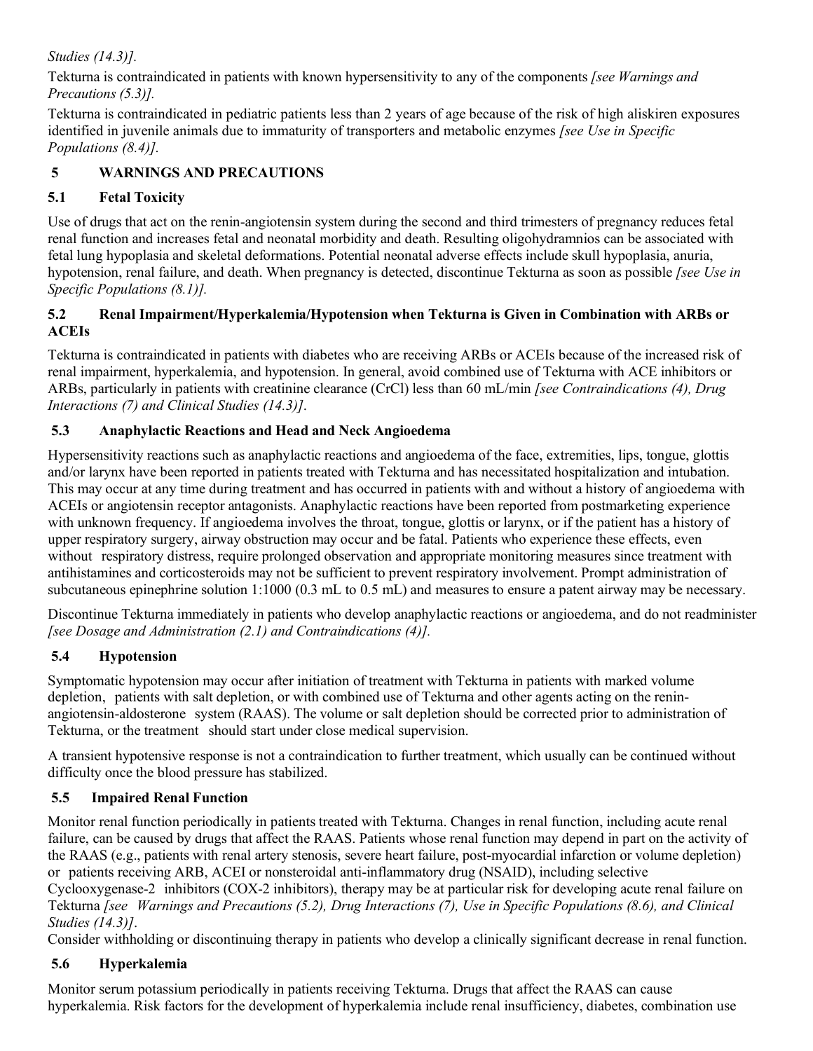## *Studies (14.3)].*

Tekturna is contraindicated in patients with known hypersensitivity to any of the components *[see Warnings and Precautions (5.3)].*

Tekturna is contraindicated in pediatric patients less than 2 years of age because of the risk of high aliskiren exposures identified in juvenile animals due to immaturity of transporters and metabolic enzymes *[see Use in Specific Populations (8.4)].*

# <span id="page-2-5"></span>**5 WARNINGS AND PRECAUTIONS**

# <span id="page-2-0"></span>**5.1 Fetal Toxicity**

Use of drugs that act on the renin-angiotensin system during the second and third trimesters of pregnancy reduces fetal renal function and increases fetal and neonatal morbidity and death. Resulting oligohydramnios can be associated with fetal lung hypoplasia and skeletal deformations. Potential neonatal adverse effects include skull hypoplasia, anuria, hypotension, renal failure, and death. When pregnancy is detected, discontinue Tekturna as soon as possible *[see Use in Specific Populations (8.1)].*

## <span id="page-2-6"></span>**5.2 Renal Impairment/Hyperkalemia/Hypotension when Tekturna is Given in Combination with ARBs or ACEIs**

Tekturna is contraindicated in patients with diabetes who are receiving ARBs or ACEIs because of the increased risk of renal impairment, hyperkalemia, and hypotension. In general, avoid combined use of Tekturna with ACE inhibitors or ARBs, particularly in patients with creatinine clearance (CrCl) less than 60 mL/min *[see Contraindications (4), Drug Interactions (7) and Clinical Studies (14.3)]*.

# <span id="page-2-2"></span>**5.3 Anaphylactic Reactions and Head and Neck Angioedema**

Hypersensitivity reactions such as anaphylactic reactions and angioedema of the face, extremities, lips, tongue, glottis and/or larynx have been reported in patients treated with Tekturna and has necessitated hospitalization and intubation. This may occur at any time during treatment and has occurred in patients with and without a history of angioedema with ACEIs or angiotensin receptor antagonists. Anaphylactic reactions have been reported from postmarketing experience with unknown frequency. If angioedema involves the throat, tongue, glottis or larynx, or if the patient has a history of upper respiratory surgery, airway obstruction may occur and be fatal. Patients who experience these effects, even without respiratory distress, require prolonged observation and appropriate monitoring measures since treatment with antihistamines and corticosteroids may not be sufficient to prevent respiratory involvement. Prompt administration of subcutaneous epinephrine solution 1:1000 (0.3 mL to 0.5 mL) and measures to ensure a patent airway may be necessary.

Discontinue Tekturna immediately in patients who develop anaphylactic reactions or angioedema, and do not readminister *[see Dosage and Administration (2.1) and Contraindications (4)].*

# <span id="page-2-3"></span>**5.4 Hypotension**

Symptomatic hypotension may occur after initiation of treatment with Tekturna in patients with marked volume depletion, patients with salt depletion, or with combined use of Tekturna and other agents acting on the reninangiotensin-aldosterone system (RAAS). The volume or salt depletion should be corrected prior to administration of Tekturna, or the treatment should start under close medical supervision.

A transient hypotensive response is not a contraindication to further treatment, which usually can be continued without difficulty once the blood pressure has stabilized.

# <span id="page-2-1"></span>**5.5 Impaired Renal Function**

Monitor renal function periodically in patients treated with Tekturna. Changes in renal function, including acute renal failure, can be caused by drugs that affect the RAAS. Patients whose renal function may depend in part on the activity of the RAAS (e.g., patients with renal artery stenosis, severe heart failure, post-myocardial infarction or volume depletion) or patients receiving ARB, ACEI or nonsteroidal anti-inflammatory drug (NSAID), including selective

Cyclooxygenase-2 inhibitors (COX-2 inhibitors), therapy may be at particular risk for developing acute renal failure on Tekturna *[see Warnings and Precautions (5.2), Drug Interactions (7), Use in Specific Populations (8.6), and Clinical Studies (14.3)]*.

Consider withholding or discontinuing therapy in patients who develop a clinically significant decrease in renal function.

# <span id="page-2-4"></span>**5.6 Hyperkalemia**

Monitor serum potassium periodically in patients receiving Tekturna. Drugs that affect the RAAS can cause hyperkalemia. Risk factors for the development of hyperkalemia include renal insufficiency, diabetes, combination use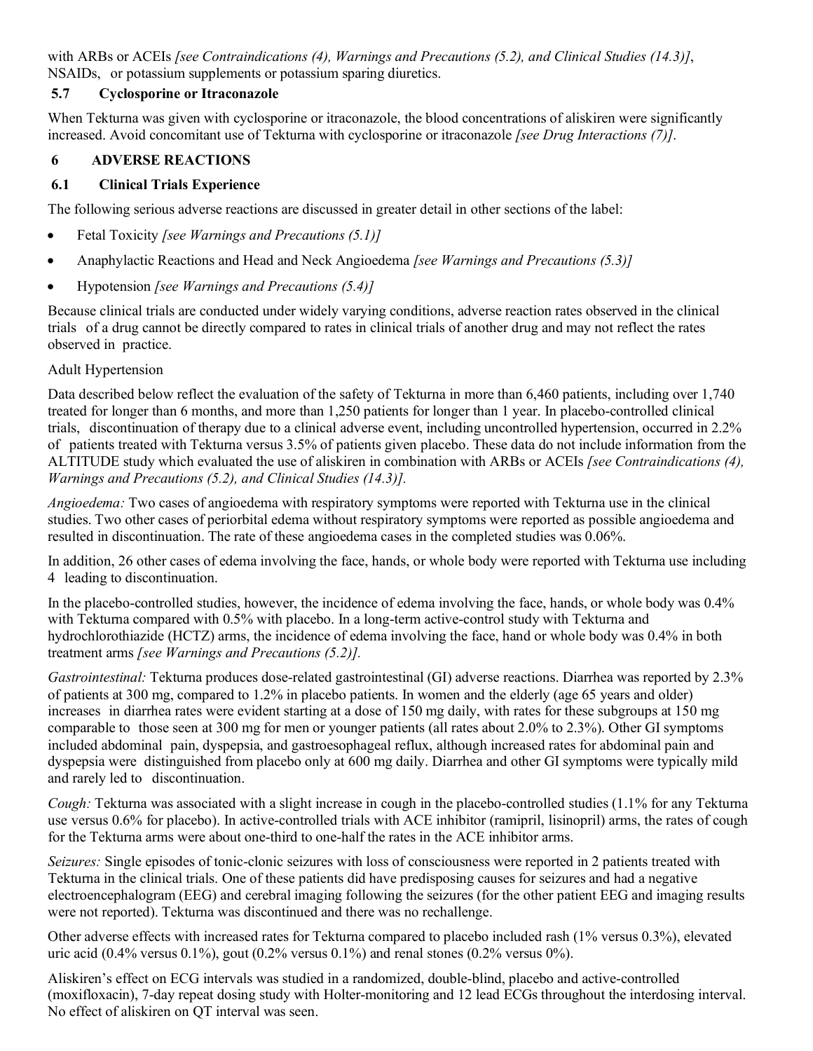with ARBs or ACEIs *[see Contraindications (4), Warnings and Precautions (5.2), and Clinical Studies (14.3)]*, NSAIDs, or potassium supplements or potassium sparing diuretics.

#### <span id="page-3-1"></span>**5.7 Cyclosporine or Itraconazole**

When Tekturna was given with cyclosporine or itraconazole, the blood concentrations of aliskiren were significantly increased. Avoid concomitant use of Tekturna with cyclosporine or itraconazole *[see Drug Interactions (7)]*.

#### <span id="page-3-2"></span>**6 ADVERSE REACTIONS**

#### <span id="page-3-0"></span>**6.1 Clinical Trials Experience**

The following serious adverse reactions are discussed in greater detail in other sections of the label:

- Fetal Toxicity *[see Warnings and Precautions (5.1)]*
- Anaphylactic Reactions and Head and Neck Angioedema *[see Warnings and Precautions (5.3)]*
- Hypotension *[see Warnings and Precautions (5.4)]*

Because clinical trials are conducted under widely varying conditions, adverse reaction rates observed in the clinical trials of a drug cannot be directly compared to rates in clinical trials of another drug and may not reflect the rates observed in practice.

#### Adult Hypertension

Data described below reflect the evaluation of the safety of Tekturna in more than 6,460 patients, including over 1,740 treated for longer than 6 months, and more than 1,250 patients for longer than 1 year. In placebo-controlled clinical trials, discontinuation of therapy due to a clinical adverse event, including uncontrolled hypertension, occurred in 2.2% of patients treated with Tekturna versus 3.5% of patients given placebo. These data do not include information from the ALTITUDE study which evaluated the use of aliskiren in combination with ARBs or ACEIs *[see Contraindications (4), Warnings and Precautions (5.2), and Clinical Studies (14.3)].*

*Angioedema:* Two cases of angioedema with respiratory symptoms were reported with Tekturna use in the clinical studies. Two other cases of periorbital edema without respiratory symptoms were reported as possible angioedema and resulted in discontinuation. The rate of these angioedema cases in the completed studies was 0.06%.

In addition, 26 other cases of edema involving the face, hands, or whole body were reported with Tekturna use including 4 leading to discontinuation.

In the placebo-controlled studies, however, the incidence of edema involving the face, hands, or whole body was 0.4% with Tekturna compared with 0.5% with placebo. In a long-term active-control study with Tekturna and hydrochlorothiazide (HCTZ) arms, the incidence of edema involving the face, hand or whole body was 0.4% in both treatment arms *[see Warnings and Precautions (5.2)].*

*Gastrointestinal:* Tekturna produces dose-related gastrointestinal (GI) adverse reactions. Diarrhea was reported by 2.3% of patients at 300 mg, compared to 1.2% in placebo patients. In women and the elderly (age 65 years and older) increases in diarrhea rates were evident starting at a dose of 150 mg daily, with rates for these subgroups at 150 mg comparable to those seen at 300 mg for men or younger patients (all rates about 2.0% to 2.3%). Other GI symptoms included abdominal pain, dyspepsia, and gastroesophageal reflux, although increased rates for abdominal pain and dyspepsia were distinguished from placebo only at 600 mg daily. Diarrhea and other GI symptoms were typically mild and rarely led to discontinuation.

*Cough:* Tekturna was associated with a slight increase in cough in the placebo-controlled studies (1.1% for any Tekturna use versus 0.6% for placebo). In active-controlled trials with ACE inhibitor (ramipril, lisinopril) arms, the rates of cough for the Tekturna arms were about one-third to one-half the rates in the ACE inhibitor arms.

*Seizures:* Single episodes of tonic-clonic seizures with loss of consciousness were reported in 2 patients treated with Tekturna in the clinical trials. One of these patients did have predisposing causes for seizures and had a negative electroencephalogram (EEG) and cerebral imaging following the seizures (for the other patient EEG and imaging results were not reported). Tekturna was discontinued and there was no rechallenge.

Other adverse effects with increased rates for Tekturna compared to placebo included rash (1% versus 0.3%), elevated uric acid  $(0.4\% \text{ versus } 0.1\%)$ , gout  $(0.2\% \text{ versus } 0.1\%)$  and renal stones  $(0.2\% \text{ versus } 0\%)$ .

Aliskiren's effect on ECG intervals was studied in a randomized, double-blind, placebo and active-controlled (moxifloxacin), 7-day repeat dosing study with Holter-monitoring and 12 lead ECGs throughout the interdosing interval. No effect of aliskiren on QT interval was seen.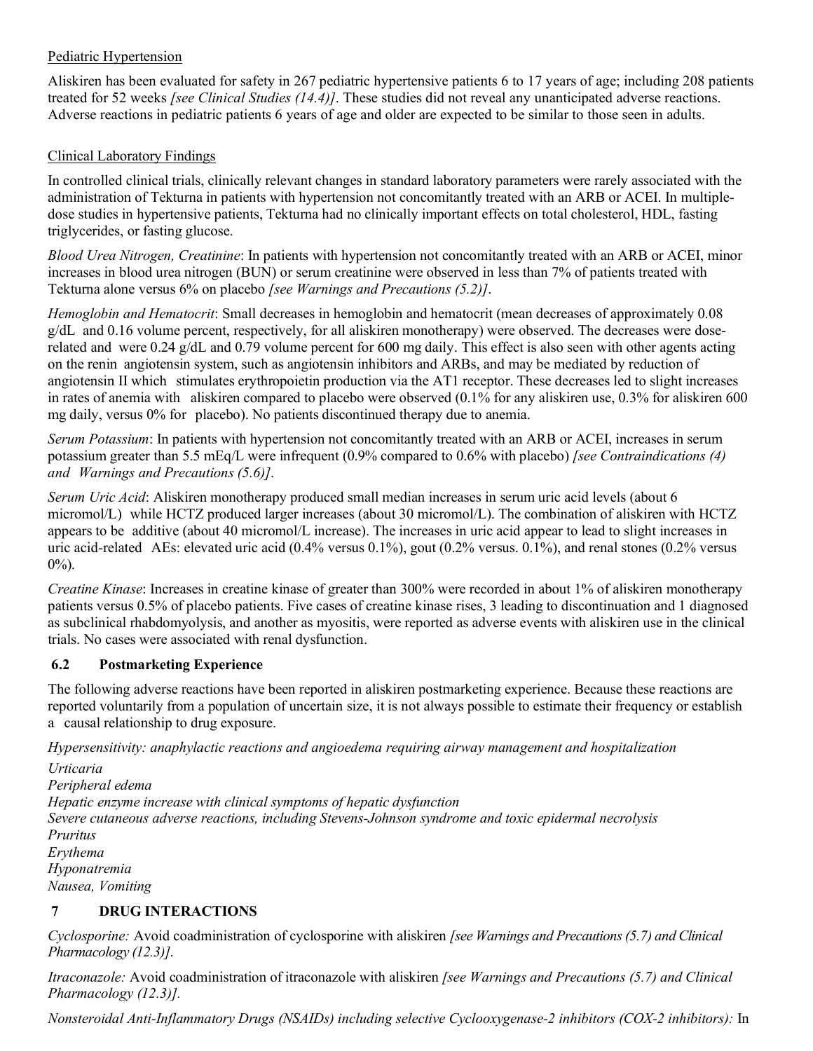#### Pediatric Hypertension

Aliskiren has been evaluated for safety in 267 pediatric hypertensive patients 6 to 17 years of age; including 208 patients treated for 52 weeks *[see Clinical Studies (14.4)]*. These studies did not reveal any unanticipated adverse reactions. Adverse reactions in pediatric patients 6 years of age and older are expected to be similar to those seen in adults.

#### Clinical Laboratory Findings

In controlled clinical trials, clinically relevant changes in standard laboratory parameters were rarely associated with the administration of Tekturna in patients with hypertension not concomitantly treated with an ARB or ACEI. In multipledose studies in hypertensive patients, Tekturna had no clinically important effects on total cholesterol, HDL, fasting triglycerides, or fasting glucose.

*Blood Urea Nitrogen, Creatinine*: In patients with hypertension not concomitantly treated with an ARB or ACEI, minor increases in blood urea nitrogen (BUN) or serum creatinine were observed in less than 7% of patients treated with Tekturna alone versus 6% on placebo *[see Warnings and Precautions (5.2)]*.

*Hemoglobin and Hematocrit*: Small decreases in hemoglobin and hematocrit (mean decreases of approximately 0.08 g/dL and 0.16 volume percent, respectively, for all aliskiren monotherapy) were observed. The decreases were doserelated and were 0.24 g/dL and 0.79 volume percent for 600 mg daily. This effect is also seen with other agents acting on the renin angiotensin system, such as angiotensin inhibitors and ARBs, and may be mediated by reduction of angiotensin II which stimulates erythropoietin production via the AT1 receptor. These decreases led to slight increases in rates of anemia with aliskiren compared to placebo were observed (0.1% for any aliskiren use, 0.3% for aliskiren 600 mg daily, versus 0% for placebo). No patients discontinued therapy due to anemia.

*Serum Potassium*: In patients with hypertension not concomitantly treated with an ARB or ACEI, increases in serum potassium greater than 5.5 mEq/L were infrequent (0.9% compared to 0.6% with placebo) *[see Contraindications (4) and Warnings and Precautions (5.6)]*.

*Serum Uric Acid*: Aliskiren monotherapy produced small median increases in serum uric acid levels (about 6 micromol/L) while HCTZ produced larger increases (about 30 micromol/L). The combination of aliskiren with HCTZ appears to be additive (about 40 micromol/L increase). The increases in uric acid appear to lead to slight increases in uric acid-related AEs: elevated uric acid (0.4% versus 0.1%), gout (0.2% versus. 0.1%), and renal stones (0.2% versus  $0\%$ ).

*Creatine Kinase*: Increases in creatine kinase of greater than 300% were recorded in about 1% of aliskiren monotherapy patients versus 0.5% of placebo patients. Five cases of creatine kinase rises, 3 leading to discontinuation and 1 diagnosed as subclinical rhabdomyolysis, and another as myositis, were reported as adverse events with aliskiren use in the clinical trials. No cases were associated with renal dysfunction.

#### <span id="page-4-1"></span>**6.2 Postmarketing Experience**

The following adverse reactions have been reported in aliskiren postmarketing experience. Because these reactions are reported voluntarily from a population of uncertain size, it is not always possible to estimate their frequency or establish a causal relationship to drug exposure.

*Hypersensitivity: anaphylactic reactions and angioedema requiring airway management and hospitalization*

*Urticaria Peripheral edema Hepatic enzyme increase with clinical symptoms of hepatic dysfunction Severe cutaneous adverse reactions, including Stevens-Johnson syndrome and toxic epidermal necrolysis Pruritus Erythema Hyponatremia Nausea, Vomiting*

## <span id="page-4-2"></span><span id="page-4-0"></span>**7 DRUG INTERACTIONS**

*Cyclosporine:* Avoid coadministration of cyclosporine with aliskiren *[see Warnings and Precautions(5.7) and Clinical Pharmacology (12.3)]*.

*Itraconazole:* Avoid coadministration of itraconazole with aliskiren *[see Warnings and Precautions (5.7) and Clinical Pharmacology (12.3)].*

*Nonsteroidal Anti-Inflammatory Drugs (NSAIDs) including selective Cyclooxygenase-2 inhibitors (COX-2 inhibitors):* In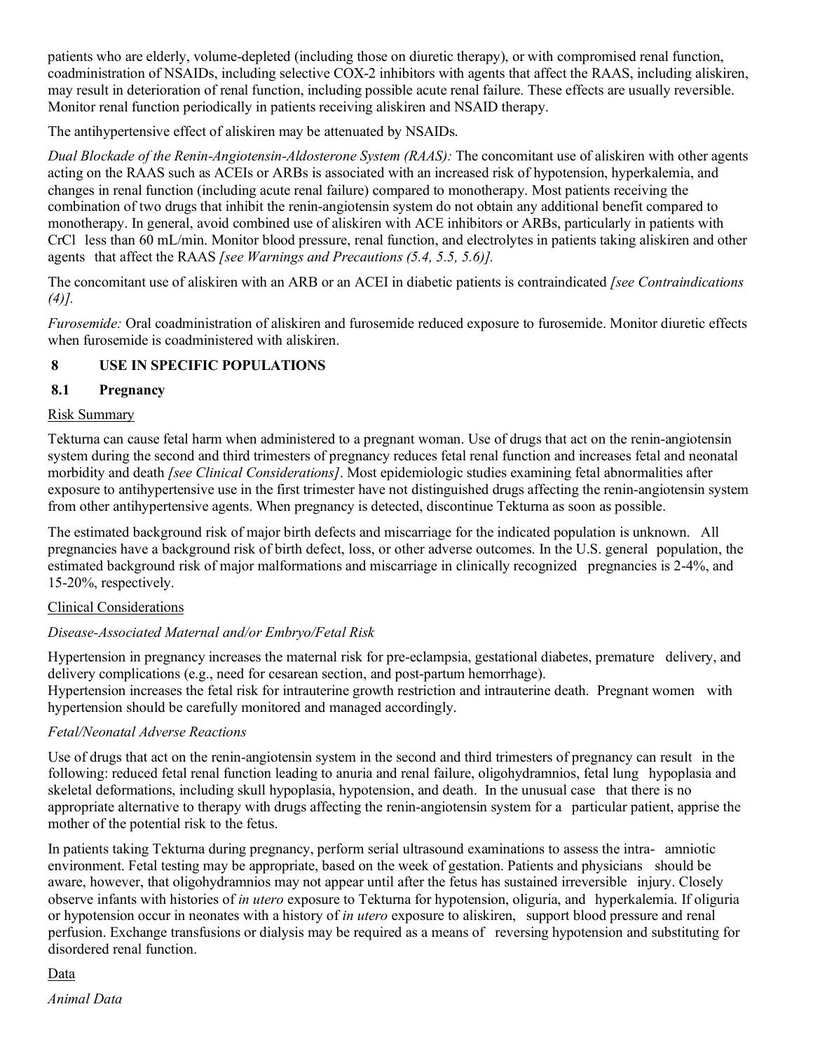patients who are elderly, volume-depleted (including those on diuretic therapy), or with compromised renal function, coadministration of NSAIDs, including selective COX-2 inhibitors with agents that affect the RAAS, including aliskiren, may result in deterioration of renal function, including possible acute renal failure. These effects are usually reversible. Monitor renal function periodically in patients receiving aliskiren and NSAID therapy.

The antihypertensive effect of aliskiren may be attenuated by NSAIDs.

*Dual Blockade of the Renin-Angiotensin-Aldosterone System (RAAS):* The concomitant use of aliskiren with other agents acting on the RAAS such as ACEIs or ARBs is associated with an increased risk of hypotension, hyperkalemia, and changes in renal function (including acute renal failure) compared to monotherapy. Most patients receiving the combination of two drugs that inhibit the renin-angiotensin system do not obtain any additional benefit compared to monotherapy. In general, avoid combined use of aliskiren with ACE inhibitors or ARBs, particularly in patients with CrCl less than 60 mL/min. Monitor blood pressure, renal function, and electrolytes in patients taking aliskiren and other agents that affect the RAAS *[see Warnings and Precautions (5.4, 5.5, 5.6)].*

The concomitant use of aliskiren with an ARB or an ACEI in diabetic patients is contraindicated *[see Contraindications (4)].*

*Furosemide:* Oral coadministration of aliskiren and furosemide reduced exposure to furosemide. Monitor diuretic effects when furosemide is coadministered with aliskiren.

## <span id="page-5-0"></span>**8 USE IN SPECIFIC POPULATIONS**

#### <span id="page-5-1"></span>**8.1 Pregnancy**

#### Risk Summary

Tekturna can cause fetal harm when administered to a pregnant woman. Use of drugs that act on the renin-angiotensin system during the second and third trimesters of pregnancy reduces fetal renal function and increases fetal and neonatal morbidity and death *[see Clinical Considerations]*. Most epidemiologic studies examining fetal abnormalities after exposure to antihypertensive use in the first trimester have not distinguished drugs affecting the renin-angiotensin system from other antihypertensive agents. When pregnancy is detected, discontinue Tekturna as soon as possible.

The estimated background risk of major birth defects and miscarriage for the indicated population is unknown. All pregnancies have a background risk of birth defect, loss, or other adverse outcomes. In the U.S. general population, the estimated background risk of major malformations and miscarriage in clinically recognized pregnancies is 2-4%, and 15-20%, respectively.

#### Clinical Considerations

#### *Disease-Associated Maternal and/or Embryo/Fetal Risk*

hypertension should be carefully monitored and managed accordingly.

Hypertension in pregnancy increases the maternal risk for pre-eclampsia, gestational diabetes, premature delivery, and delivery complications (e.g., need for cesarean section, and post-partum hemorrhage). Hypertension increases the fetal risk for intrauterine growth restriction and intrauterine death. Pregnant women with

#### *Fetal/Neonatal Adverse Reactions*

Use of drugs that act on the renin-angiotensin system in the second and third trimesters of pregnancy can result in the following: reduced fetal renal function leading to anuria and renal failure, oligohydramnios, fetal lung hypoplasia and skeletal deformations, including skull hypoplasia, hypotension, and death. In the unusual case that there is no appropriate alternative to therapy with drugs affecting the renin-angiotensin system for a particular patient, apprise the mother of the potential risk to the fetus.

In patients taking Tekturna during pregnancy, perform serial ultrasound examinations to assess the intra- amniotic environment. Fetal testing may be appropriate, based on the week of gestation. Patients and physicians should be aware, however, that oligohydramnios may not appear until after the fetus has sustained irreversible injury. Closely observe infants with histories of *in utero* exposure to Tekturna for hypotension, oliguria, and hyperkalemia. If oliguria or hypotension occur in neonates with a history of *in utero* exposure to aliskiren, support blood pressure and renal perfusion. Exchange transfusions or dialysis may be required as a means of reversing hypotension and substituting for disordered renal function.

#### Data

*Animal Data*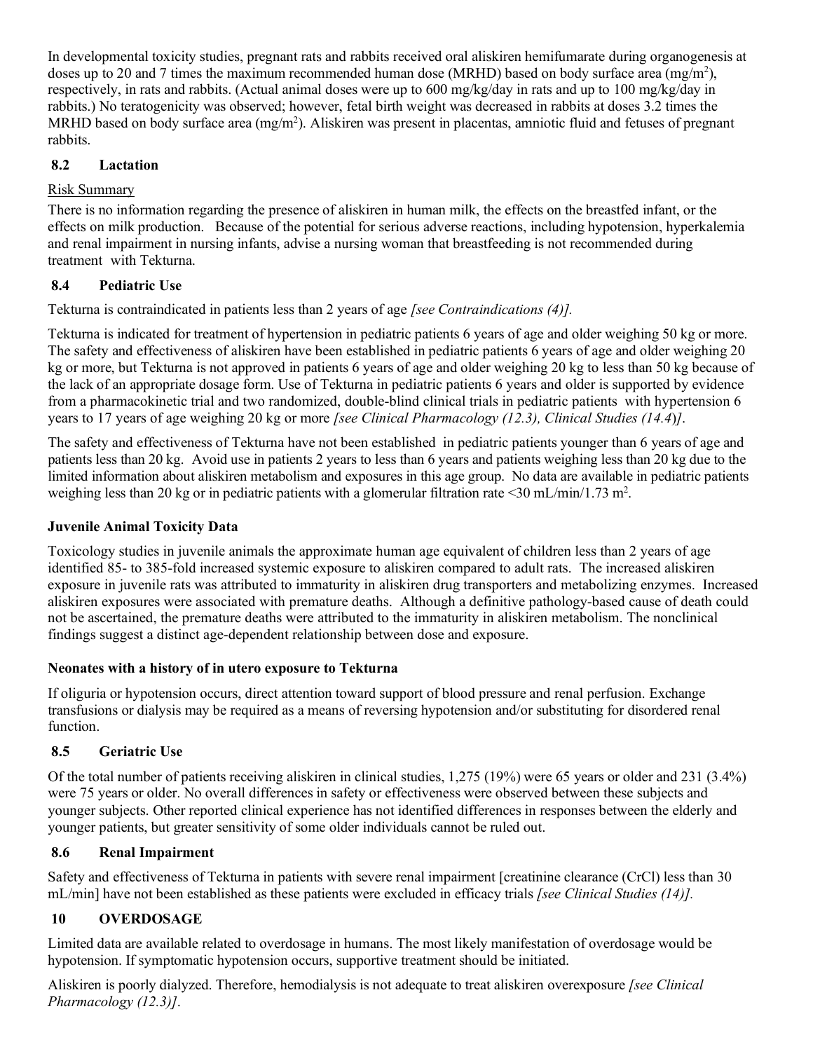In developmental toxicity studies, pregnant rats and rabbits received oral aliskiren hemifumarate during organogenesis at doses up to 20 and 7 times the maximum recommended human dose (MRHD) based on body surface area (mg/m<sup>2</sup>), respectively, in rats and rabbits. (Actual animal doses were up to 600 mg/kg/day in rats and up to 100 mg/kg/day in rabbits.) No teratogenicity was observed; however, fetal birth weight was decreased in rabbits at doses 3.2 times the MRHD based on body surface area (mg/m<sup>2</sup>). Aliskiren was present in placentas, amniotic fluid and fetuses of pregnant rabbits.

#### **8.2 Lactation**

#### Risk Summary

There is no information regarding the presence of aliskiren in human milk, the effects on the breastfed infant, or the effects on milk production. Because of the potential for serious adverse reactions, including hypotension, hyperkalemia and renal impairment in nursing infants, advise a nursing woman that breastfeeding is not recommended during treatment with Tekturna.

#### <span id="page-6-0"></span>**8.4 Pediatric Use**

Tekturna is contraindicated in patients less than 2 years of age *[see Contraindications (4)].* 

Tekturna is indicated for treatment of hypertension in pediatric patients 6 years of age and older weighing 50 kg or more. The safety and effectiveness of aliskiren have been established in pediatric patients 6 years of age and older weighing 20 kg or more, but Tekturna is not approved in patients 6 years of age and older weighing 20 kg to less than 50 kg because of the lack of an appropriate dosage form. Use of Tekturna in pediatric patients 6 years and older is supported by evidence from a pharmacokinetic trial and two randomized, double-blind clinical trials in pediatric patients with hypertension 6 years to 17 years of age weighing 20 kg or more *[see Clinical Pharmacology (12.3), Clinical Studies (14.4*)*]*.

The safety and effectiveness of Tekturna have not been established in pediatric patients younger than 6 years of age and patients less than 20 kg. Avoid use in patients 2 years to less than 6 years and patients weighing less than 20 kg due to the limited information about aliskiren metabolism and exposures in this age group. No data are available in pediatric patients weighing less than 20 kg or in pediatric patients with a glomerular filtration rate  $\leq$  30 mL/min/1.73 m<sup>2</sup>.

#### **Juvenile Animal Toxicity Data**

Toxicology studies in juvenile animals the approximate human age equivalent of children less than 2 years of age identified 85- to 385-fold increased systemic exposure to aliskiren compared to adult rats. The increased aliskiren exposure in juvenile rats was attributed to immaturity in aliskiren drug transporters and metabolizing enzymes. Increased aliskiren exposures were associated with premature deaths. Although a definitive pathology-based cause of death could not be ascertained, the premature deaths were attributed to the immaturity in aliskiren metabolism. The nonclinical findings suggest a distinct age-dependent relationship between dose and exposure.

#### **Neonates with a history of in utero exposure to Tekturna**

If oliguria or hypotension occurs, direct attention toward support of blood pressure and renal perfusion. Exchange transfusions or dialysis may be required as a means of reversing hypotension and/or substituting for disordered renal function.

## <span id="page-6-1"></span>**8.5 Geriatric Use**

Of the total number of patients receiving aliskiren in clinical studies, 1,275 (19%) were 65 years or older and 231 (3.4%) were 75 years or older. No overall differences in safety or effectiveness were observed between these subjects and younger subjects. Other reported clinical experience has not identified differences in responses between the elderly and younger patients, but greater sensitivity of some older individuals cannot be ruled out.

#### <span id="page-6-2"></span>**8.6 Renal Impairment**

Safety and effectiveness of Tekturna in patients with severe renal impairment [creatinine clearance (CrCl) less than 30 mL/min] have not been established as these patients were excluded in efficacy trials *[see Clinical Studies (14)].*

## <span id="page-6-3"></span>**10 OVERDOSAGE**

Limited data are available related to overdosage in humans. The most likely manifestation of overdosage would be hypotension. If symptomatic hypotension occurs, supportive treatment should be initiated.

Aliskiren is poorly dialyzed. Therefore, hemodialysis is not adequate to treat aliskiren overexposure *[see Clinical Pharmacology (12.3)]*.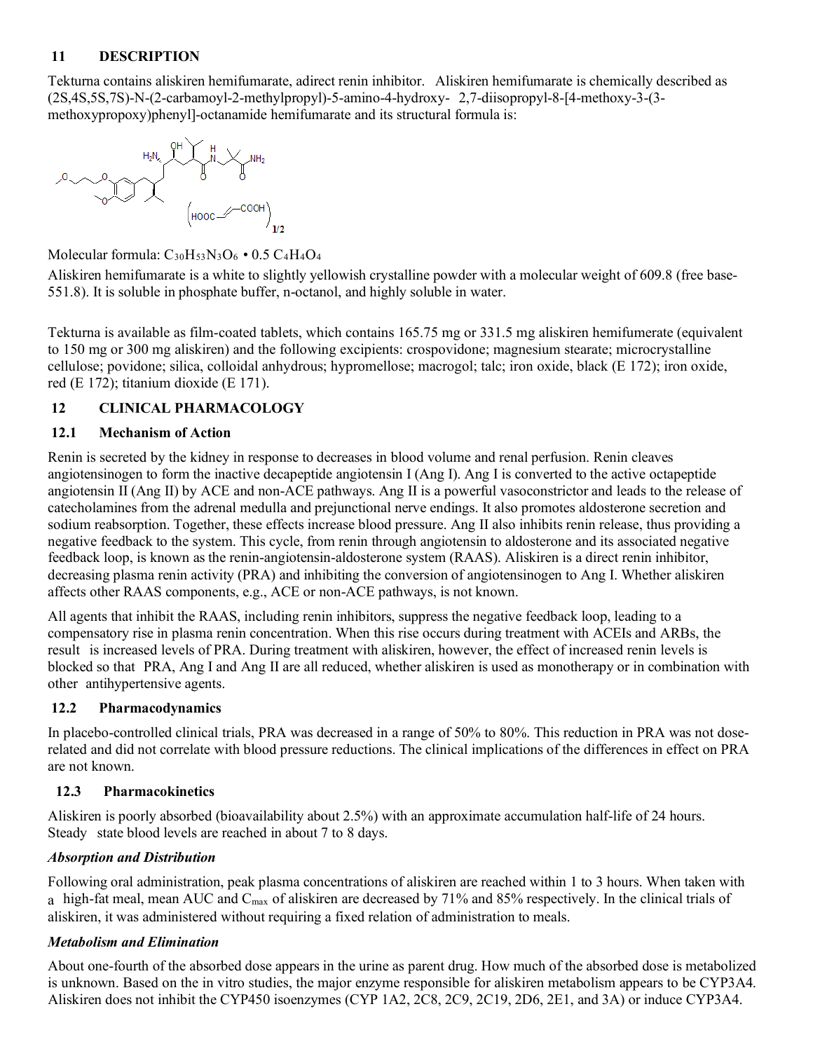#### <span id="page-7-1"></span>**11 DESCRIPTION**

Tekturna contains aliskiren hemifumarate, adirect renin inhibitor. Aliskiren hemifumarate is chemically described as (2S,4S,5S,7S)-N-(2-carbamoyl-2-methylpropyl)-5-amino-4-hydroxy- 2,7-diisopropyl-8-[4-methoxy-3-(3 methoxypropoxy)phenyl]-octanamide hemifumarate and its structural formula is:



Molecular formula:  $C_{30}H_{53}N_3O_6 \cdot 0.5 C_4H_4O_4$ 

Aliskiren hemifumarate is a white to slightly yellowish crystalline powder with a molecular weight of 609.8 (free base-551.8). It is soluble in phosphate buffer, n-octanol, and highly soluble in water.

Tekturna is available as film-coated tablets, which contains 165.75 mg or 331.5 mg aliskiren hemifumerate (equivalent to 150 mg or 300 mg aliskiren) and the following excipients: crospovidone; magnesium stearate; microcrystalline cellulose; povidone; silica, colloidal anhydrous; hypromellose; macrogol; talc; iron oxide, black (E 172); iron oxide, red (E 172); titanium dioxide (E 171).

#### <span id="page-7-2"></span>**12 CLINICAL PHARMACOLOGY**

#### <span id="page-7-3"></span>**12.1 Mechanism of Action**

Renin is secreted by the kidney in response to decreases in blood volume and renal perfusion. Renin cleaves angiotensinogen to form the inactive decapeptide angiotensin I (Ang I). Ang I is converted to the active octapeptide angiotensin II (Ang II) by ACE and non-ACE pathways. Ang II is a powerful vasoconstrictor and leads to the release of catecholamines from the adrenal medulla and prejunctional nerve endings. It also promotes aldosterone secretion and sodium reabsorption. Together, these effects increase blood pressure. Ang II also inhibits renin release, thus providing a negative feedback to the system. This cycle, from renin through angiotensin to aldosterone and its associated negative feedback loop, is known as the renin-angiotensin-aldosterone system (RAAS). Aliskiren is a direct renin inhibitor, decreasing plasma renin activity (PRA) and inhibiting the conversion of angiotensinogen to Ang I. Whether aliskiren affects other RAAS components, e.g., ACE or non-ACE pathways, is not known.

All agents that inhibit the RAAS, including renin inhibitors, suppress the negative feedback loop, leading to a compensatory rise in plasma renin concentration. When this rise occurs during treatment with ACEIs and ARBs, the result is increased levels of PRA. During treatment with aliskiren, however, the effect of increased renin levels is blocked so that PRA, Ang I and Ang II are all reduced, whether aliskiren is used as monotherapy or in combination with other antihypertensive agents.

#### <span id="page-7-4"></span>**12.2 Pharmacodynamics**

In placebo-controlled clinical trials, PRA was decreased in a range of 50% to 80%. This reduction in PRA was not doserelated and did not correlate with blood pressure reductions. The clinical implications of the differences in effect on PRA are not known.

#### <span id="page-7-0"></span>**12.3 Pharmacokinetics**

Aliskiren is poorly absorbed (bioavailability about 2.5%) with an approximate accumulation half-life of 24 hours. Steady state blood levels are reached in about 7 to 8 days.

#### *Absorption and Distribution*

Following oral administration, peak plasma concentrations of aliskiren are reached within 1 to 3 hours. When taken with a high-fat meal, mean AUC and  $C_{\text{max}}$  of aliskiren are decreased by 71% and 85% respectively. In the clinical trials of aliskiren, it was administered without requiring a fixed relation of administration to meals.

#### *Metabolism and Elimination*

About one-fourth of the absorbed dose appears in the urine as parent drug. How much of the absorbed dose is metabolized is unknown. Based on the in vitro studies, the major enzyme responsible for aliskiren metabolism appears to be CYP3A4. Aliskiren does not inhibit the CYP450 isoenzymes (CYP 1A2, 2C8, 2C9, 2C19, 2D6, 2E1, and 3A) or induce CYP3A4.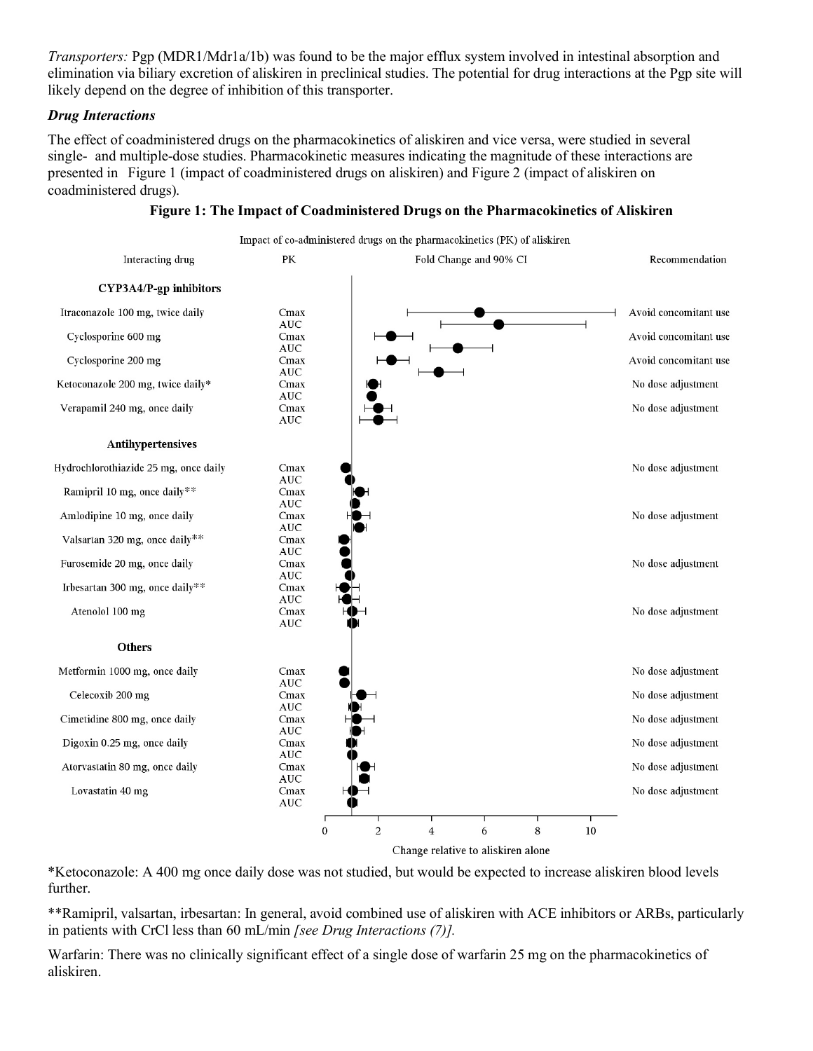*Transporters:* Pgp (MDR1/Mdr1a/1b) was found to be the major efflux system involved in intestinal absorption and elimination via biliary excretion of aliskiren in preclinical studies. The potential for drug interactions at the Pgp site will likely depend on the degree of inhibition of this transporter.

#### *Drug Interactions*

The effect of coadministered drugs on the pharmacokinetics of aliskiren and vice versa, were studied in several single- and multiple-dose studies. Pharmacokinetic measures indicating the magnitude of these interactions are presented in Figure 1 (impact of coadministered drugs on aliskiren) and Figure 2 (impact of aliskiren on coadministered drugs).



#### **Figure 1: The Impact of Coadministered Drugs on the Pharmacokinetics of Aliskiren**

\*Ketoconazole: A 400 mg once daily dose was not studied, but would be expected to increase aliskiren blood levels further.

\*\*Ramipril, valsartan, irbesartan: In general, avoid combined use of aliskiren with ACE inhibitors or ARBs, particularly in patients with CrCl less than 60 mL/min *[see Drug Interactions (7)].*

Warfarin: There was no clinically significant effect of a single dose of warfarin 25 mg on the pharmacokinetics of aliskiren.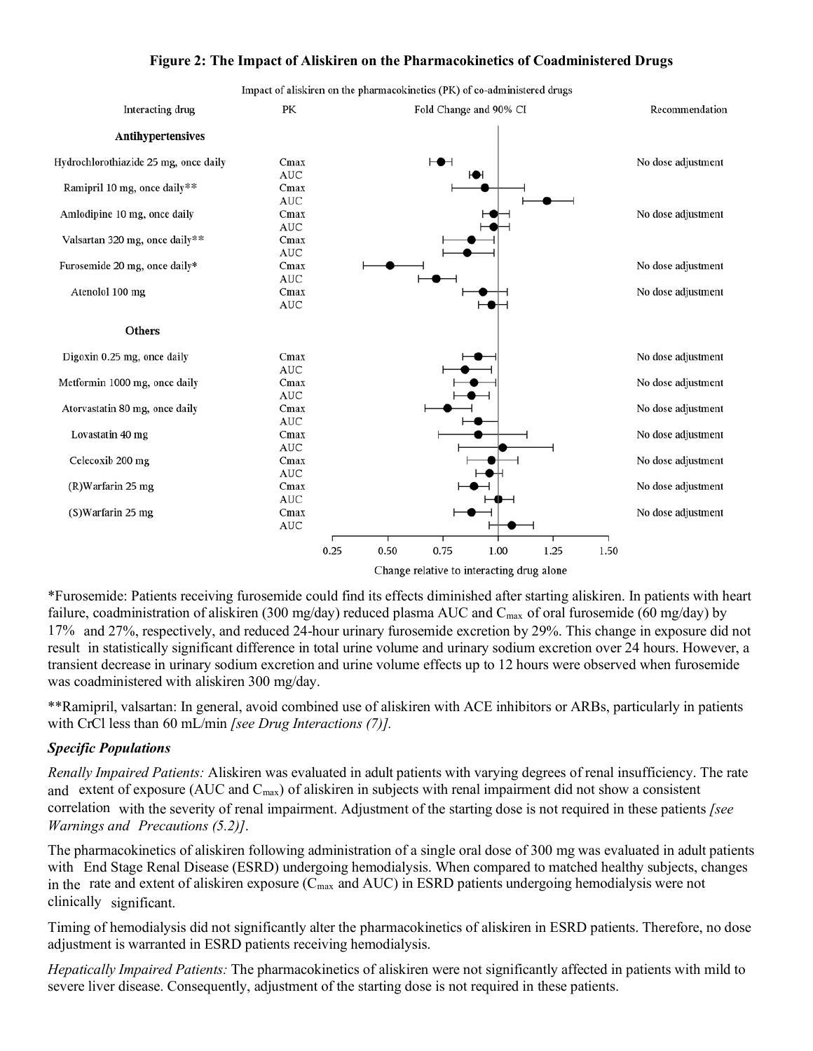#### **Figure 2: The Impact of Aliskiren on the Pharmacokinetics of Coadministered Drugs**

Impact of aliskiren on the pharmacokinetics (PK) of co-administered drugs



\*Furosemide: Patients receiving furosemide could find its effects diminished after starting aliskiren. In patients with heart failure, coadministration of aliskiren (300 mg/day) reduced plasma AUC and C<sub>max</sub> of oral furosemide (60 mg/day) by 17% and 27%, respectively, and reduced 24-hour urinary furosemide excretion by 29%. This change in exposure did not result in statistically significant difference in total urine volume and urinary sodium excretion over 24 hours. However, a transient decrease in urinary sodium excretion and urine volume effects up to 12 hours were observed when furosemide was coadministered with aliskiren 300 mg/day.

\*\*Ramipril, valsartan: In general, avoid combined use of aliskiren with ACE inhibitors or ARBs, particularly in patients with CrCl less than 60 mL/min *[see Drug Interactions (7)].*

#### *Specific Populations*

*Renally Impaired Patients:* Aliskiren was evaluated in adult patients with varying degrees of renal insufficiency. The rate and extent of exposure (AUC and  $C_{\text{max}}$ ) of aliskiren in subjects with renal impairment did not show a consistent correlation with the severity of renal impairment. Adjustment of the starting dose is not required in these patients *[see Warnings and Precautions (5.2)]*.

The pharmacokinetics of aliskiren following administration of a single oral dose of 300 mg was evaluated in adult patients with End Stage Renal Disease (ESRD) undergoing hemodialysis. When compared to matched healthy subjects, changes in the rate and extent of aliskiren exposure ( $C_{\text{max}}$  and AUC) in ESRD patients undergoing hemodialysis were not clinically significant.

Timing of hemodialysis did not significantly alter the pharmacokinetics of aliskiren in ESRD patients. Therefore, no dose adjustment is warranted in ESRD patients receiving hemodialysis.

*Hepatically Impaired Patients:* The pharmacokinetics of aliskiren were not significantly affected in patients with mild to severe liver disease. Consequently, adjustment of the starting dose is not required in these patients.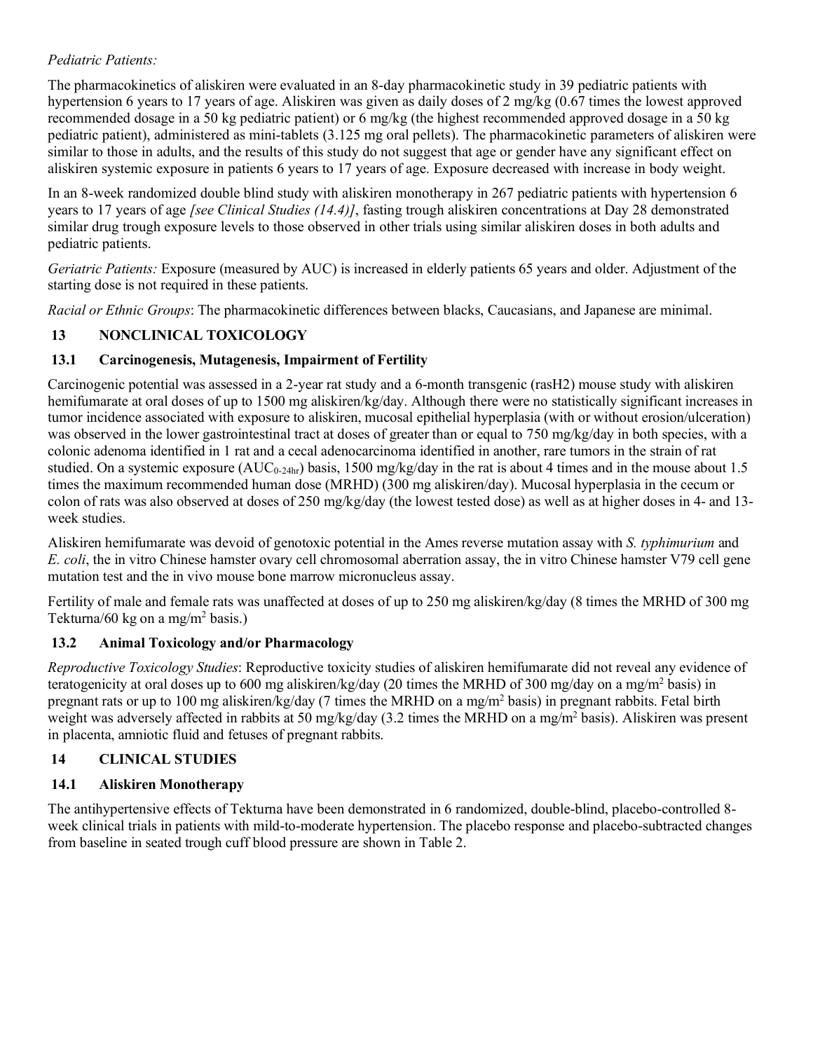#### *Pediatric Patients:*

The pharmacokinetics of aliskiren were evaluated in an 8-day pharmacokinetic study in 39 pediatric patients with hypertension 6 years to 17 years of age. Aliskiren was given as daily doses of 2 mg/kg (0.67 times the lowest approved recommended dosage in a 50 kg pediatric patient) or 6 mg/kg (the highest recommended approved dosage in a 50 kg pediatric patient), administered as mini-tablets (3.125 mg oral pellets). The pharmacokinetic parameters of aliskiren were similar to those in adults, and the results of this study do not suggest that age or gender have any significant effect on aliskiren systemic exposure in patients 6 years to 17 years of age. Exposure decreased with increase in body weight.

In an 8-week randomized double blind study with aliskiren monotherapy in 267 pediatric patients with hypertension 6 years to 17 years of age *[see Clinical Studies (14.4)]*, fasting trough aliskiren concentrations at Day 28 demonstrated similar drug trough exposure levels to those observed in other trials using similar aliskiren doses in both adults and pediatric patients.

*Geriatric Patients:* Exposure (measured by AUC) is increased in elderly patients 65 years and older. Adjustment of the starting dose is not required in these patients.

*Racial or Ethnic Groups*: The pharmacokinetic differences between blacks, Caucasians, and Japanese are minimal.

#### <span id="page-10-0"></span>**13 NONCLINICAL TOXICOLOGY**

#### <span id="page-10-1"></span>**13.1 Carcinogenesis, Mutagenesis, Impairment of Fertility**

Carcinogenic potential was assessed in a 2-year rat study and a 6-month transgenic (rasH2) mouse study with aliskiren hemifumarate at oral doses of up to 1500 mg aliskiren/kg/day. Although there were no statistically significant increases in tumor incidence associated with exposure to aliskiren, mucosal epithelial hyperplasia (with or without erosion/ulceration) was observed in the lower gastrointestinal tract at doses of greater than or equal to 750 mg/kg/day in both species, with a colonic adenoma identified in 1 rat and a cecal adenocarcinoma identified in another, rare tumors in the strain of rat studied. On a systemic exposure  $(AUC_{0-24hr})$  basis, 1500 mg/kg/day in the rat is about 4 times and in the mouse about 1.5 times the maximum recommended human dose (MRHD) (300 mg aliskiren/day). Mucosal hyperplasia in the cecum or colon of rats was also observed at doses of 250 mg/kg/day (the lowest tested dose) as well as at higher doses in 4- and 13 week studies.

Aliskiren hemifumarate was devoid of genotoxic potential in the Ames reverse mutation assay with *S. typhimurium* and *E. coli*, the in vitro Chinese hamster ovary cell chromosomal aberration assay, the in vitro Chinese hamster V79 cell gene mutation test and the in vivo mouse bone marrow micronucleus assay.

Fertility of male and female rats was unaffected at doses of up to 250 mg aliskiren/kg/day (8 times the MRHD of 300 mg Tekturna/60 kg on a mg/m<sup>2</sup> basis.)

#### <span id="page-10-2"></span>**13.2 Animal Toxicology and/or Pharmacology**

*Reproductive Toxicology Studies*: Reproductive toxicity studies of aliskiren hemifumarate did not reveal any evidence of teratogenicity at oral doses up to 600 mg aliskiren/kg/day (20 times the MRHD of 300 mg/day on a mg/m<sup>2</sup> basis) in pregnant rats or up to 100 mg aliskiren/kg/day (7 times the MRHD on a mg/m2 basis) in pregnant rabbits. Fetal birth weight was adversely affected in rabbits at 50 mg/kg/day (3.2 times the MRHD on a mg/m<sup>2</sup> basis). Aliskiren was present in placenta, amniotic fluid and fetuses of pregnant rabbits.

## <span id="page-10-3"></span>**14 CLINICAL STUDIES**

#### **14.1 Aliskiren Monotherapy**

The antihypertensive effects of Tekturna have been demonstrated in 6 randomized, double-blind, placebo-controlled 8 week clinical trials in patients with mild-to-moderate hypertension. The placebo response and placebo-subtracted changes from baseline in seated trough cuff blood pressure are shown in Table 2.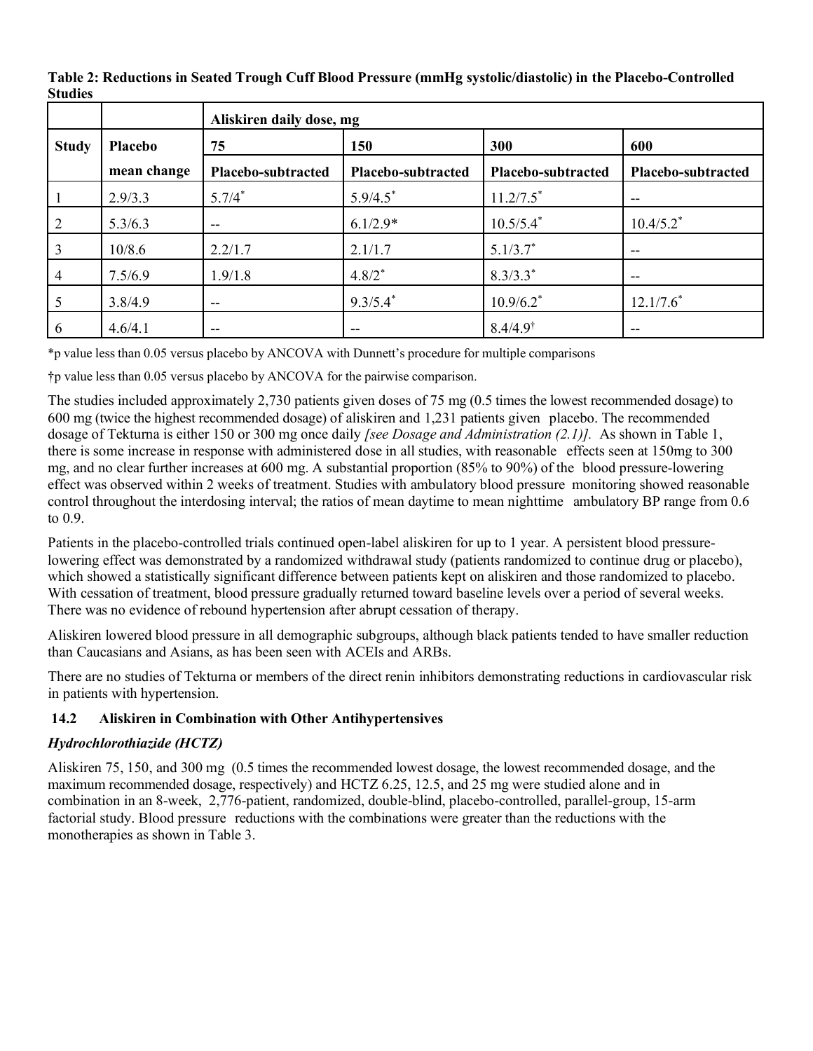|              |             | Aliskiren daily dose, mg |                        |                         |                          |  |
|--------------|-------------|--------------------------|------------------------|-------------------------|--------------------------|--|
| <b>Study</b> | Placebo     | 75                       | 150                    | 300                     | 600                      |  |
|              | mean change | Placebo-subtracted       | Placebo-subtracted     | Placebo-subtracted      | Placebo-subtracted       |  |
|              | 2.9/3.3     | $5.7/4*$                 | 5.9/4.5                | $11.2/7.5^*$            | --                       |  |
| 2            | 5.3/6.3     | $- -$                    | $6.1/2.9*$             | $10.5/5.4$ <sup>*</sup> | $10.4/5.2$ <sup>*</sup>  |  |
| 3            | 10/8.6      | 2.2/1.7                  | 2.1/1.7                | $5.1/3.7^*$             | --                       |  |
| 4            | 7.5/6.9     | 1.9/1.8                  | $4.8/2*$               | $8.3/3.3*$              | $\overline{\phantom{m}}$ |  |
|              | 3.8/4.9     | $- -$                    | $9.3/5.4$ <sup>*</sup> | $10.9/6.2^*$            | $12.1/7.6^*$             |  |
| 6            | 4.6/4.1     | $- -$                    | --                     | $8.4/4.9$ <sup>†</sup>  | --                       |  |

**Table 2: Reductions in Seated Trough Cuff Blood Pressure (mmHg systolic/diastolic) in the Placebo-Controlled Studies**

\*p value less than 0.05 versus placebo by ANCOVA with Dunnett's procedure for multiple comparisons

†p value less than 0.05 versus placebo by ANCOVA for the pairwise comparison.

The studies included approximately 2,730 patients given doses of 75 mg (0.5 times the lowest recommended dosage) to 600 mg (twice the highest recommended dosage) of aliskiren and 1,231 patients given placebo. The recommended dosage of Tekturna is either 150 or 300 mg once daily *[see Dosage and Administration (2.1)].* As shown in Table 1, there is some increase in response with administered dose in all studies, with reasonable effects seen at 150mg to 300 mg, and no clear further increases at 600 mg. A substantial proportion (85% to 90%) of the blood pressure-lowering effect was observed within 2 weeks of treatment. Studies with ambulatory blood pressure monitoring showed reasonable control throughout the interdosing interval; the ratios of mean daytime to mean nighttime ambulatory BP range from 0.6 to 0.9.

Patients in the placebo-controlled trials continued open-label aliskiren for up to 1 year. A persistent blood pressurelowering effect was demonstrated by a randomized withdrawal study (patients randomized to continue drug or placebo), which showed a statistically significant difference between patients kept on aliskiren and those randomized to placebo. With cessation of treatment, blood pressure gradually returned toward baseline levels over a period of several weeks. There was no evidence of rebound hypertension after abrupt cessation of therapy.

Aliskiren lowered blood pressure in all demographic subgroups, although black patients tended to have smaller reduction than Caucasians and Asians, as has been seen with ACEIs and ARBs.

There are no studies of Tekturna or members of the direct renin inhibitors demonstrating reductions in cardiovascular risk in patients with hypertension.

## <span id="page-11-0"></span>**14.2 Aliskiren in Combination with Other Antihypertensives**

## *Hydrochlorothiazide (HCTZ)*

Aliskiren 75, 150, and 300 mg (0.5 times the recommended lowest dosage, the lowest recommended dosage, and the maximum recommended dosage, respectively) and HCTZ 6.25, 12.5, and 25 mg were studied alone and in combination in an 8-week, 2,776-patient, randomized, double-blind, placebo-controlled, parallel-group, 15-arm factorial study. Blood pressure reductions with the combinations were greater than the reductions with the monotherapies as shown in Table 3.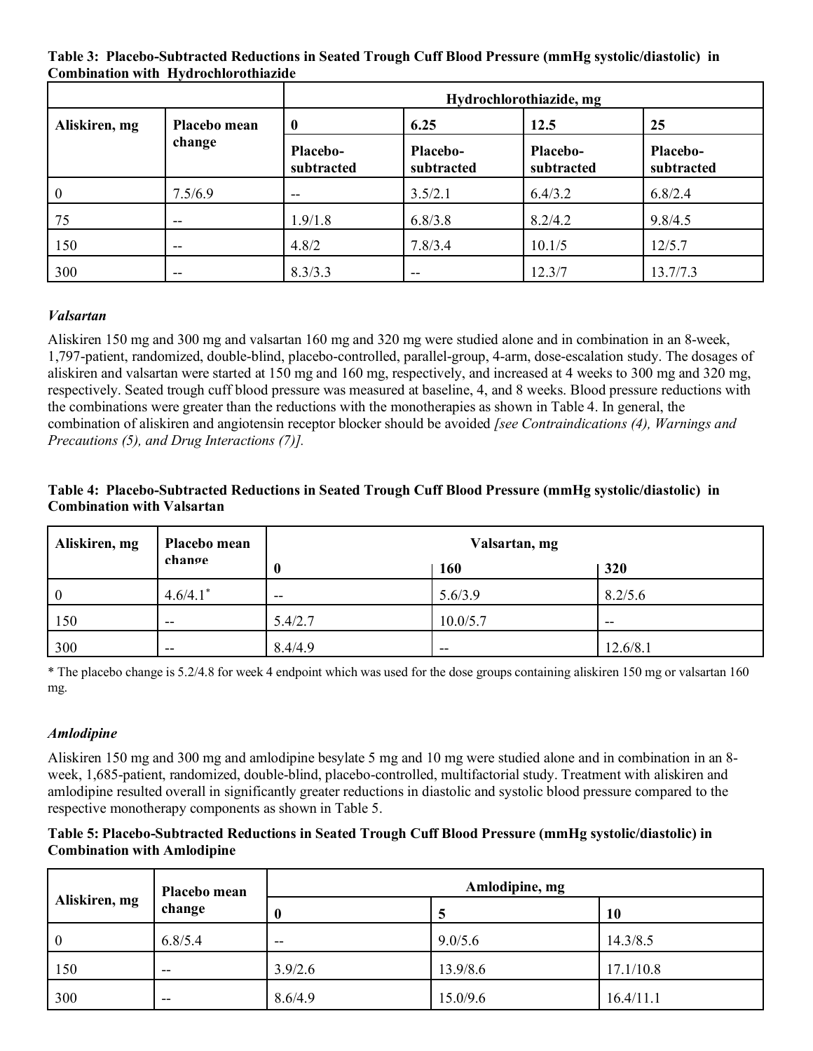**Table 3: Placebo-Subtracted Reductions in Seated Trough Cuff Blood Pressure (mmHg systolic/diastolic) in Combination with Hydrochlorothiazide**

|               |                        | Hydrochlorothiazide, mg |                        |                               |                        |  |
|---------------|------------------------|-------------------------|------------------------|-------------------------------|------------------------|--|
| Aliskiren, mg | Placebo mean<br>change |                         | 6.25                   | 12.5                          | 25                     |  |
|               |                        | Placebo-<br>subtracted  | Placebo-<br>subtracted | <b>Placebo-</b><br>subtracted | Placebo-<br>subtracted |  |
| -0            | 7.5/6.9                | --                      | 3.5/2.1                | 6.4/3.2                       | 6.8/2.4                |  |
| 75            | $- -$                  | 1.9/1.8                 | 6.8/3.8                | 8.2/4.2                       | 9.8/4.5                |  |
| 150           | $- -$                  | 4.8/2                   | 7.8/3.4                | 10.1/5                        | 12/5.7                 |  |
| 300           | $- -$                  | 8.3/3.3                 | $- -$                  | 12.3/7                        | 13.7/7.3               |  |

#### *Valsartan*

Aliskiren 150 mg and 300 mg and valsartan 160 mg and 320 mg were studied alone and in combination in an 8-week, 1,797-patient, randomized, double-blind, placebo-controlled, parallel-group, 4-arm, dose-escalation study. The dosages of aliskiren and valsartan were started at 150 mg and 160 mg, respectively, and increased at 4 weeks to 300 mg and 320 mg, respectively. Seated trough cuff blood pressure was measured at baseline, 4, and 8 weeks. Blood pressure reductions with the combinations were greater than the reductions with the monotherapies as shown in Table 4. In general, the combination of aliskiren and angiotensin receptor blocker should be avoided *[see Contraindications (4), Warnings and Precautions (5), and Drug Interactions (7)].*

#### **Table 4: Placebo-Subtracted Reductions in Seated Trough Cuff Blood Pressure (mmHg systolic/diastolic) in Combination with Valsartan**

| Aliskiren, mg | Placebo mean<br>change   | Valsartan, mg |            |          |  |
|---------------|--------------------------|---------------|------------|----------|--|
|               |                          | 0             | <b>160</b> | 320      |  |
|               | $4.6/4.1*$               | $- -$         | 5.6/3.9    | 8.2/5.6  |  |
| 150           | $- -$                    | 5.4/2.7       | 10.0/5.7   | --       |  |
| 300           | $\overline{\phantom{m}}$ | 8.4/4.9       | $- -$      | 12.6/8.1 |  |

\* The placebo change is 5.2/4.8 for week 4 endpoint which was used for the dose groups containing aliskiren 150 mg or valsartan 160 mg.

#### *Amlodipine*

Aliskiren 150 mg and 300 mg and amlodipine besylate 5 mg and 10 mg were studied alone and in combination in an 8 week, 1,685-patient, randomized, double-blind, placebo-controlled, multifactorial study. Treatment with aliskiren and amlodipine resulted overall in significantly greater reductions in diastolic and systolic blood pressure compared to the respective monotherapy components as shown in Table 5.

#### **Table 5: Placebo-Subtracted Reductions in Seated Trough Cuff Blood Pressure (mmHg systolic/diastolic) in Combination with Amlodipine**

|               | Placebo mean<br>change | Amlodipine, mg |          |           |  |
|---------------|------------------------|----------------|----------|-----------|--|
| Aliskiren, mg |                        |                |          | 10        |  |
| $\theta$      | 6.8/5.4                | $- -$          | 9.0/5.6  | 14.3/8.5  |  |
| 150           | $- -$                  | 3.9/2.6        | 13.9/8.6 | 17.1/10.8 |  |
| 300           | --                     | 8.6/4.9        | 15.0/9.6 | 16.4/11.1 |  |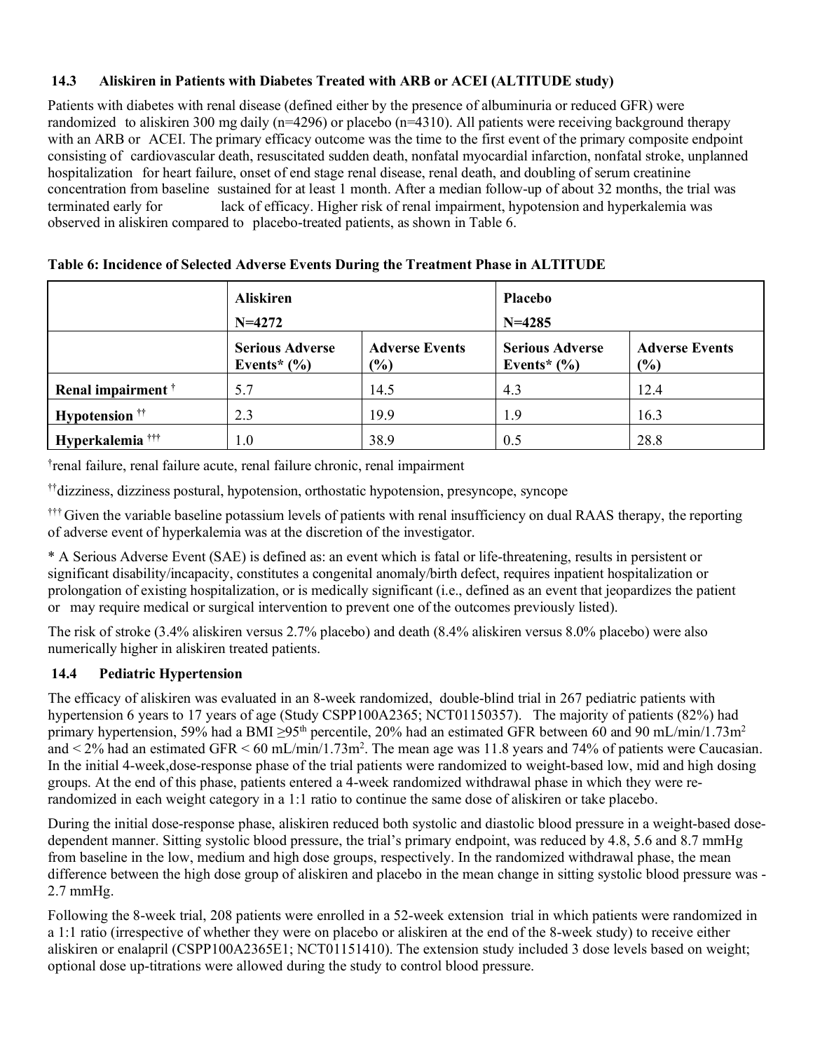## <span id="page-13-0"></span>**14.3 Aliskiren in Patients with Diabetes Treated with ARB or ACEI (ALTITUDE study)**

Patients with diabetes with renal disease (defined either by the presence of albuminuria or reduced GFR) were randomized to aliskiren 300 mg daily (n=4296) or placebo (n=4310). All patients were receiving background therapy with an ARB or ACEI. The primary efficacy outcome was the time to the first event of the primary composite endpoint consisting of cardiovascular death, resuscitated sudden death, nonfatal myocardial infarction, nonfatal stroke, unplanned hospitalization for heart failure, onset of end stage renal disease, renal death, and doubling of serum creatinine concentration from baseline sustained for at least 1 month. After a median follow-up of about 32 months, the trial was terminated early for lack of efficacy. Higher risk of renal impairment, hypotension and hyperkalemia was observed in aliskiren compared to placebo-treated patients, as shown in Table 6.

|                             | <b>Aliskiren</b><br>$N = 4272$                                            |      | Placebo<br>$N = 4285$                     |                              |
|-----------------------------|---------------------------------------------------------------------------|------|-------------------------------------------|------------------------------|
|                             | <b>Serious Adverse</b><br><b>Adverse Events</b><br>Events* $(\% )$<br>(%) |      | <b>Serious Adverse</b><br>Events* $(\% )$ | <b>Adverse Events</b><br>(%) |
| Renal impairment $\dagger$  | 5.7                                                                       | 14.5 | 4.3                                       | 12.4                         |
| Hypotension <sup>††</sup>   | 2.3                                                                       | 19.9 | 1.9                                       | 16.3                         |
| Hyperkalemia <sup>†††</sup> | 1.0                                                                       | 38.9 | 0.5                                       | 28.8                         |

#### **Table 6: Incidence of Selected Adverse Events During the Treatment Phase in ALTITUDE**

† renal failure, renal failure acute, renal failure chronic, renal impairment

††dizziness, dizziness postural, hypotension, orthostatic hypotension, presyncope, syncope

††† Given the variable baseline potassium levels of patients with renal insufficiency on dual RAAS therapy, the reporting of adverse event of hyperkalemia was at the discretion of the investigator.

\* A Serious Adverse Event (SAE) is defined as: an event which is fatal or life-threatening, results in persistent or significant disability/incapacity, constitutes a congenital anomaly/birth defect, requires inpatient hospitalization or prolongation of existing hospitalization, or is medically significant (i.e., defined as an event that jeopardizes the patient or may require medical or surgical intervention to prevent one of the outcomes previously listed).

The risk of stroke (3.4% aliskiren versus 2.7% placebo) and death (8.4% aliskiren versus 8.0% placebo) were also numerically higher in aliskiren treated patients.

#### <span id="page-13-1"></span>**14.4 Pediatric Hypertension**

The efficacy of aliskiren was evaluated in an 8-week randomized, double-blind trial in 267 pediatric patients with hypertension 6 years to 17 years of age (Study CSPP100A2365; NCT01150357). The majority of patients (82%) had primary hypertension, 59% had a BMI ≥95<sup>th</sup> percentile, 20% had an estimated GFR between 60 and 90 mL/min/1.73m<sup>2</sup> and  $\leq$  2% had an estimated GFR  $\leq$  60 mL/min/1.73m<sup>2</sup>. The mean age was 11.8 years and 74% of patients were Caucasian. In the initial 4-week,dose-response phase of the trial patients were randomized to weight-based low, mid and high dosing groups. At the end of this phase, patients entered a 4-week randomized withdrawal phase in which they were rerandomized in each weight category in a 1:1 ratio to continue the same dose of aliskiren or take placebo.

During the initial dose-response phase, aliskiren reduced both systolic and diastolic blood pressure in a weight-based dosedependent manner. Sitting systolic blood pressure, the trial's primary endpoint, was reduced by 4.8, 5.6 and 8.7 mmHg from baseline in the low, medium and high dose groups, respectively. In the randomized withdrawal phase, the mean difference between the high dose group of aliskiren and placebo in the mean change in sitting systolic blood pressure was - 2.7 mmHg.

Following the 8-week trial, 208 patients were enrolled in a 52-week extension trial in which patients were randomized in a 1:1 ratio (irrespective of whether they were on placebo or aliskiren at the end of the 8-week study) to receive either aliskiren or enalapril (CSPP100A2365E1; NCT01151410). The extension study included 3 dose levels based on weight; optional dose up-titrations were allowed during the study to control blood pressure.